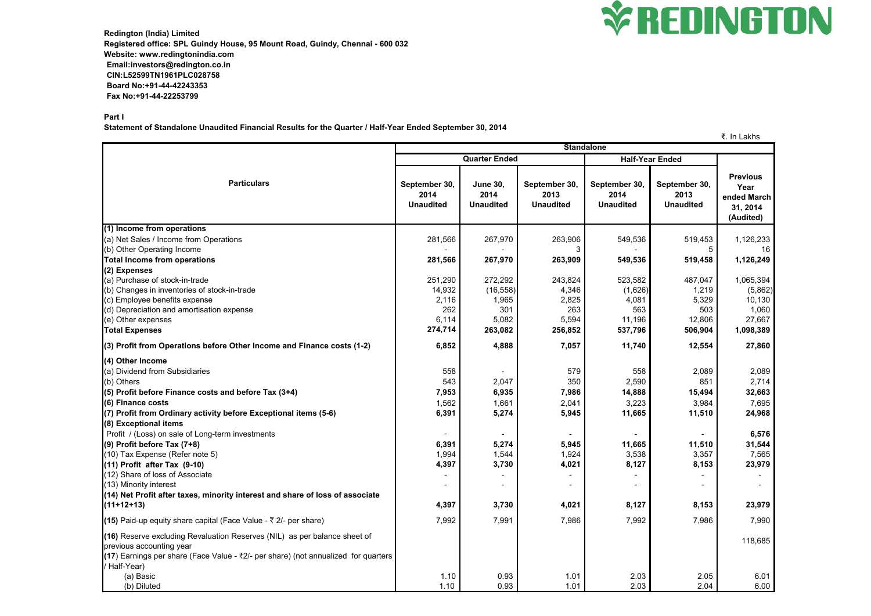

**Redington (India) Limited Registered office: SPL Guindy House, 95 Mount Road, Guindy, Chennai - 600 032 Website: www.redingtonindia.com Email:investors@redington.co.in CIN:L52599TN1961PLC028758 Board No:+91-44-42243353 Fax No:+91-44-22253799**

## **Part I**

**Statement of Standalone Unaudited Financial Results for the Quarter / Half-Year Ended September 30, 2014**

## ₹. In Lakhs

|                                                                                                                                                                                             | טווא∟ ווו ג<br><b>Standalone</b>          |                                             |                                           |                                           |                                           |                                                                 |
|---------------------------------------------------------------------------------------------------------------------------------------------------------------------------------------------|-------------------------------------------|---------------------------------------------|-------------------------------------------|-------------------------------------------|-------------------------------------------|-----------------------------------------------------------------|
|                                                                                                                                                                                             | <b>Quarter Ended</b>                      |                                             |                                           | <b>Half-Year Ended</b>                    |                                           |                                                                 |
| <b>Particulars</b>                                                                                                                                                                          | September 30,<br>2014<br><b>Unaudited</b> | <b>June 30,</b><br>2014<br><b>Unaudited</b> | September 30,<br>2013<br><b>Unaudited</b> | September 30,<br>2014<br><b>Unaudited</b> | September 30,<br>2013<br><b>Unaudited</b> | <b>Previous</b><br>Year<br>ended March<br>31, 2014<br>(Audited) |
| (1) Income from operations                                                                                                                                                                  |                                           |                                             |                                           |                                           |                                           |                                                                 |
| (a) Net Sales / Income from Operations                                                                                                                                                      | 281,566                                   | 267,970                                     | 263,906                                   | 549,536                                   | 519,453                                   | 1,126,233                                                       |
| (b) Other Operating Income                                                                                                                                                                  |                                           |                                             |                                           |                                           |                                           |                                                                 |
| <b>Total Income from operations</b>                                                                                                                                                         | 281,566                                   | 267,970                                     | 263,909                                   | 549,536                                   | 519,458                                   | 1,126,249                                                       |
| (2) Expenses                                                                                                                                                                                |                                           |                                             |                                           |                                           |                                           |                                                                 |
| (a) Purchase of stock-in-trade                                                                                                                                                              | 251,290                                   | 272,292                                     | 243,824                                   | 523,582                                   | 487,047                                   | 1,065,394                                                       |
| (b) Changes in inventories of stock-in-trade                                                                                                                                                | 14,932                                    | (16, 558)                                   | 4,346                                     | (1,626)                                   | 1,219                                     | (5,862)                                                         |
| (c) Employee benefits expense<br>(d) Depreciation and amortisation expense                                                                                                                  | 2,116<br>262                              | 1,965<br>301                                | 2,825<br>263                              | 4,081<br>563                              | 5,329<br>503                              | 10,130<br>1,060                                                 |
| (e) Other expenses                                                                                                                                                                          | 6,114                                     | 5,082                                       | 5,594                                     | 11,196                                    | 12,806                                    | 27,667                                                          |
| <b>Total Expenses</b>                                                                                                                                                                       | 274,714                                   | 263,082                                     | 256,852                                   | 537,796                                   | 506,904                                   | 1,098,389                                                       |
| (3) Profit from Operations before Other Income and Finance costs (1-2)                                                                                                                      | 6,852                                     | 4,888                                       | 7,057                                     | 11,740                                    | 12,554                                    | 27,860                                                          |
| (4) Other Income                                                                                                                                                                            |                                           |                                             |                                           |                                           |                                           |                                                                 |
| (a) Dividend from Subsidiaries                                                                                                                                                              | 558                                       |                                             | 579                                       | 558                                       | 2,089                                     | 2,089                                                           |
| (b) Others                                                                                                                                                                                  | 543                                       | 2,047                                       | 350                                       | 2,590                                     | 851                                       | 2,714                                                           |
| $(5)$ Profit before Finance costs and before Tax $(3+4)$                                                                                                                                    | 7,953                                     | 6,935                                       | 7,986                                     | 14,888                                    | 15,494                                    | 32,663                                                          |
| (6) Finance costs                                                                                                                                                                           | 1,562                                     | 1,661                                       | 2,041                                     | 3,223                                     | 3,984                                     | 7,695                                                           |
| (7) Profit from Ordinary activity before Exceptional items (5-6)                                                                                                                            | 6,391                                     | 5,274                                       | 5,945                                     | 11,665                                    | 11,510                                    | 24,968                                                          |
| (8) Exceptional items                                                                                                                                                                       |                                           |                                             |                                           |                                           |                                           |                                                                 |
| Profit / (Loss) on sale of Long-term investments                                                                                                                                            |                                           |                                             |                                           |                                           |                                           | 6,576                                                           |
| $(9)$ Profit before Tax $(7+8)$                                                                                                                                                             | 6,391                                     | 5,274                                       | 5,945                                     | 11,665                                    | 11,510                                    | 31,544                                                          |
| (10) Tax Expense (Refer note 5)                                                                                                                                                             | 1,994                                     | 1,544                                       | 1,924                                     | 3,538                                     | 3,357                                     | 7,565                                                           |
| $(11)$ Profit after Tax $(9-10)$                                                                                                                                                            | 4,397                                     | 3,730                                       | 4,021                                     | 8,127                                     | 8,153                                     | 23,979                                                          |
| (12) Share of loss of Associate                                                                                                                                                             |                                           |                                             |                                           |                                           |                                           |                                                                 |
| (13) Minority interest                                                                                                                                                                      |                                           |                                             |                                           |                                           |                                           |                                                                 |
| (14) Net Profit after taxes, minority interest and share of loss of associate                                                                                                               |                                           |                                             |                                           |                                           |                                           |                                                                 |
| $(11+12+13)$                                                                                                                                                                                | 4,397                                     | 3,730                                       | 4,021                                     | 8,127                                     | 8,153                                     | 23,979                                                          |
| (15) Paid-up equity share capital (Face Value - $\bar{\tau}$ 2/- per share)                                                                                                                 | 7,992                                     | 7,991                                       | 7,986                                     | 7,992                                     | 7,986                                     | 7,990                                                           |
| (16) Reserve excluding Revaluation Reserves (NIL) as per balance sheet of<br>previous accounting year<br>(17) Earnings per share (Face Value - ₹2/- per share) (not annualized for quarters |                                           |                                             |                                           |                                           |                                           | 118,685                                                         |
| / Half-Year)                                                                                                                                                                                |                                           |                                             |                                           |                                           |                                           |                                                                 |
| (a) Basic                                                                                                                                                                                   | 1.10                                      | 0.93                                        | 1.01                                      | 2.03                                      | 2.05                                      | 6.01                                                            |
| (b) Diluted                                                                                                                                                                                 | 1.10                                      | 0.93                                        | 1.01                                      | 2.03                                      | 2.04                                      | 6.00                                                            |

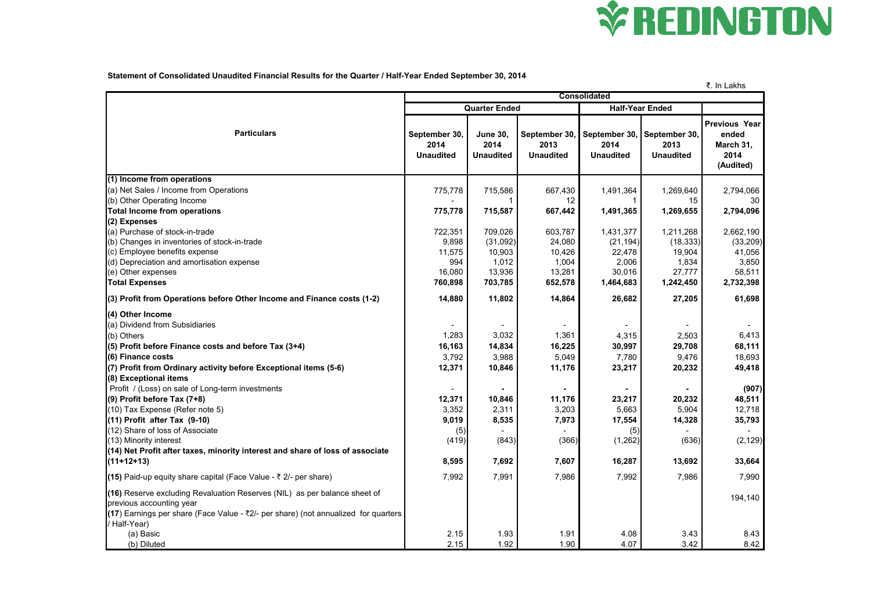

**Statement of Consolidated Unaudited Financial Results for the Quarter / Half-Year Ended September 30, 2014**

|                                                                                                                                                                                                                                                                                                                                                                                                                                                                                                                                                                        |                                                                                         |                                                                                  |                                                                                  |                                                                                              |                                                                                    | ₹. In Lakhs                                                                                      |  |
|------------------------------------------------------------------------------------------------------------------------------------------------------------------------------------------------------------------------------------------------------------------------------------------------------------------------------------------------------------------------------------------------------------------------------------------------------------------------------------------------------------------------------------------------------------------------|-----------------------------------------------------------------------------------------|----------------------------------------------------------------------------------|----------------------------------------------------------------------------------|----------------------------------------------------------------------------------------------|------------------------------------------------------------------------------------|--------------------------------------------------------------------------------------------------|--|
|                                                                                                                                                                                                                                                                                                                                                                                                                                                                                                                                                                        | <b>Consolidated</b>                                                                     |                                                                                  |                                                                                  |                                                                                              |                                                                                    |                                                                                                  |  |
|                                                                                                                                                                                                                                                                                                                                                                                                                                                                                                                                                                        | <b>Quarter Ended</b>                                                                    |                                                                                  |                                                                                  | <b>Half-Year Ended</b>                                                                       |                                                                                    |                                                                                                  |  |
| <b>Particulars</b>                                                                                                                                                                                                                                                                                                                                                                                                                                                                                                                                                     | September 30,<br>2014<br><b>Unaudited</b>                                               | <b>June 30,</b><br>2014<br><b>Unaudited</b>                                      | September 30,<br>2013<br><b>Unaudited</b>                                        | 2014<br><b>Unaudited</b>                                                                     | September 30, September 30,<br>2013<br><b>Unaudited</b>                            | <b>Previous Year</b><br>ended<br>March 31,<br>2014<br>(Audited)                                  |  |
| (1) Income from operations                                                                                                                                                                                                                                                                                                                                                                                                                                                                                                                                             |                                                                                         |                                                                                  |                                                                                  |                                                                                              |                                                                                    |                                                                                                  |  |
| (a) Net Sales / Income from Operations<br>(b) Other Operating Income<br><b>Total Income from operations</b>                                                                                                                                                                                                                                                                                                                                                                                                                                                            | 775,778<br>775,778                                                                      | 715,586<br>715,587                                                               | 667,430<br>12<br>667,442                                                         | 1,491,364<br>1,491,365                                                                       | 1,269,640<br>15<br>1,269,655                                                       | 2,794,066<br>30<br>2,794,096                                                                     |  |
| (2) Expenses                                                                                                                                                                                                                                                                                                                                                                                                                                                                                                                                                           |                                                                                         |                                                                                  |                                                                                  |                                                                                              |                                                                                    |                                                                                                  |  |
| (a) Purchase of stock-in-trade<br>(b) Changes in inventories of stock-in-trade<br>(c) Employee benefits expense<br>(d) Depreciation and amortisation expense<br>(e) Other expenses                                                                                                                                                                                                                                                                                                                                                                                     | 722,351<br>9,898<br>11,575<br>994<br>16,080                                             | 709,026<br>(31,092)<br>10,903<br>1,012<br>13,936                                 | 603,787<br>24,080<br>10,426<br>1,004<br>13,281                                   | 1,431,377<br>(21, 194)<br>22,478<br>2,006<br>30,016                                          | 1,211,268<br>(18, 333)<br>19,904<br>1,834<br>27,777                                | 2,662,190<br>(33,209)<br>41,056<br>3,850<br>58,511                                               |  |
| <b>Total Expenses</b>                                                                                                                                                                                                                                                                                                                                                                                                                                                                                                                                                  | 760,898                                                                                 | 703,785                                                                          | 652,578                                                                          | 1,464,683                                                                                    | 1,242,450                                                                          | 2,732,398                                                                                        |  |
| (3) Profit from Operations before Other Income and Finance costs (1-2)                                                                                                                                                                                                                                                                                                                                                                                                                                                                                                 | 14,880                                                                                  | 11,802                                                                           | 14,864                                                                           | 26,682                                                                                       | 27,205                                                                             | 61,698                                                                                           |  |
| (4) Other Income<br>(a) Dividend from Subsidiaries<br>(b) Others<br>$(5)$ Profit before Finance costs and before Tax $(3+4)$<br>(6) Finance costs<br>(7) Profit from Ordinary activity before Exceptional items (5-6)<br>(8) Exceptional items<br>Profit / (Loss) on sale of Long-term investments<br>(9) Profit before Tax (7+8)<br>(10) Tax Expense (Refer note 5)<br>$(11)$ Profit after Tax $(9-10)$<br>(12) Share of loss of Associate<br>(13) Minority interest<br>(14) Net Profit after taxes, minority interest and share of loss of associate<br>$(11+12+13)$ | 1,283<br>16,163<br>3,792<br>12,371<br>12,371<br>3,352<br>9,019<br>(5)<br>(419)<br>8,595 | 3,032<br>14,834<br>3,988<br>10,846<br>10,846<br>2,311<br>8,535<br>(843)<br>7,692 | 1,361<br>16,225<br>5,049<br>11,176<br>11,176<br>3,203<br>7,973<br>(366)<br>7,607 | 4,315<br>30,997<br>7,780<br>23,217<br>23,217<br>5,663<br>17,554<br>(5)<br>(1, 262)<br>16,287 | 2,503<br>29,708<br>9,476<br>20,232<br>20,232<br>5,904<br>14,328<br>(636)<br>13,692 | 6,413<br>68,111<br>18,693<br>49,418<br>(907)<br>48,511<br>12,718<br>35,793<br>(2, 129)<br>33,664 |  |
| (15) Paid-up equity share capital (Face Value - $\bar{\tau}$ 2/- per share)                                                                                                                                                                                                                                                                                                                                                                                                                                                                                            | 7,992                                                                                   | 7,991                                                                            | 7,986                                                                            | 7,992                                                                                        | 7,986                                                                              | 7,990                                                                                            |  |
| (16) Reserve excluding Revaluation Reserves (NIL) as per balance sheet of<br>previous accounting year<br>(17) Earnings per share (Face Value - ₹2/- per share) (not annualized for quarters  <br>/ Half-Year)                                                                                                                                                                                                                                                                                                                                                          |                                                                                         |                                                                                  |                                                                                  |                                                                                              |                                                                                    | 194,140                                                                                          |  |
| (a) Basic<br>(b) Diluted                                                                                                                                                                                                                                                                                                                                                                                                                                                                                                                                               | 2.15<br>2.15                                                                            | 1.93<br>1.92                                                                     | 1.91<br>1.90                                                                     | 4.08<br>4.07                                                                                 | 3.43<br>3.42                                                                       | 8.43<br>8.42                                                                                     |  |

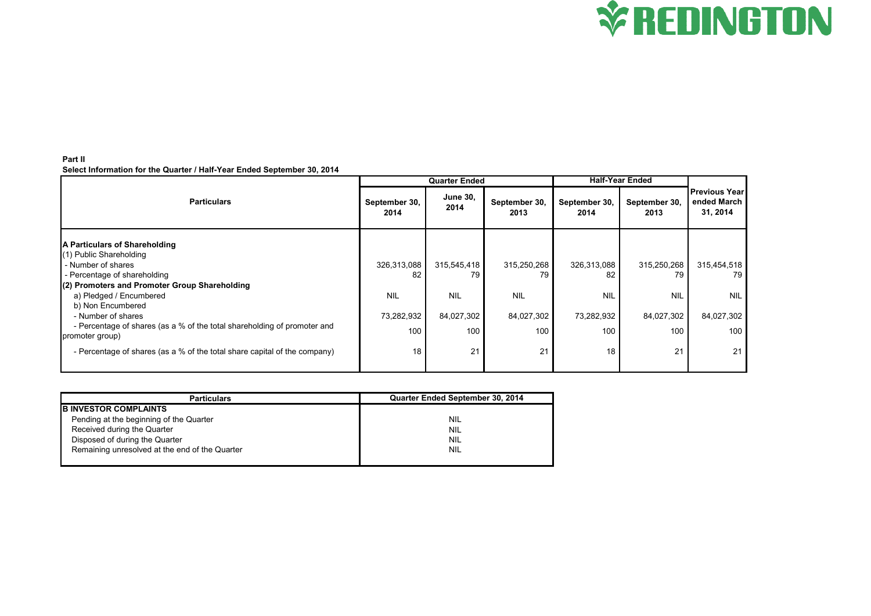

## **Part II Select Information for the Quarter / Half-Year Ended September 30, 2014**

|                                                                                             | <b>Quarter Ended</b>  |                         |                       | <b>Half-Year Ended</b> |                       |                                                 |
|---------------------------------------------------------------------------------------------|-----------------------|-------------------------|-----------------------|------------------------|-----------------------|-------------------------------------------------|
| <b>Particulars</b>                                                                          | September 30,<br>2014 | <b>June 30,</b><br>2014 | September 30,<br>2013 | September 30,<br>2014  | September 30,<br>2013 | <b>Previous Year</b><br>ended March<br>31, 2014 |
| A Particulars of Shareholding                                                               |                       |                         |                       |                        |                       |                                                 |
| (1) Public Shareholding<br>- Number of shares                                               | 326,313,088           | 315,545,418             | 315,250,268           | 326,313,088            | 315,250,268           | 315,454,518                                     |
| - Percentage of shareholding                                                                | 82                    | 79                      | 79                    | 82                     | 79                    | 79                                              |
| (2) Promoters and Promoter Group Shareholding                                               |                       |                         |                       |                        |                       |                                                 |
| a) Pledged / Encumbered<br>b) Non Encumbered                                                | <b>NIL</b>            | <b>NIL</b>              | <b>NIL</b>            | <b>NIL</b>             | <b>NIL</b>            | <b>NIL</b>                                      |
| - Number of shares                                                                          | 73,282,932            | 84,027,302              | 84,027,302            | 73,282,932             | 84,027,302            | 84,027,302                                      |
| - Percentage of shares (as a % of the total shareholding of promoter and<br>promoter group) | 100                   | 100                     | 100                   | 100                    | 100 <sub>1</sub>      | 100                                             |
| - Percentage of shares (as a % of the total share capital of the company)                   | 18                    | 21                      | 21                    | 18                     | 21                    | 21                                              |

| <b>Particulars</b>                             | Quarter Ended September 30, 2014 |
|------------------------------------------------|----------------------------------|
| <b>B INVESTOR COMPLAINTS</b>                   |                                  |
| Pending at the beginning of the Quarter        | <b>NIL</b>                       |
| Received during the Quarter                    | <b>NIL</b>                       |
| Disposed of during the Quarter                 | <b>NIL</b>                       |
| Remaining unresolved at the end of the Quarter | NIL                              |
|                                                |                                  |